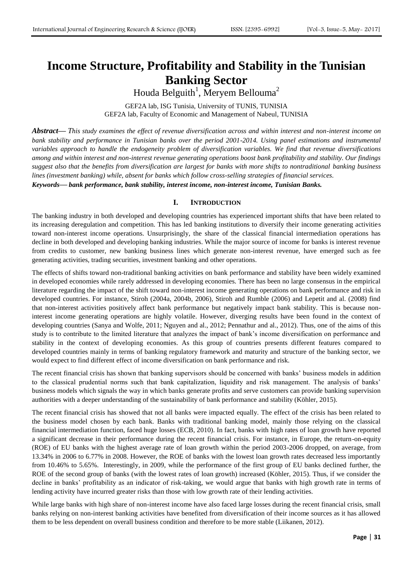# **Income Structure, Profitability and Stability in the Tunisian Banking Sector**

Houda Belguith<sup>1</sup>, Meryem Bellouma<sup>2</sup>

GEF2A lab, ISG Tunisia, University of TUNIS, TUNISIA GEF2A lab, Faculty of Economic and Management of Nabeul, TUNISIA

*Abstract***—** *This study examines the effect of revenue diversification across and within interest and non-interest income on*  bank stability and performance in Tunisian banks over the period 2001-2014. Using panel estimations and instrumental *variables approach to handle the endogeneity problem of diversification variables. We find that revenue diversifications among and within interest and non-interest revenue generating operations boost bank profitability and stability. Our findings suggest also that the benefits from diversification are largest for banks with more shifts to nontraditional banking business lines (investment banking) while, absent for banks which follow cross-selling strategies of financial services.*

*Keywords***—** *bank performance, bank stability, interest income, non-interest income, Tunisian Banks.*

## **I. INTRODUCTION**

The banking industry in both developed and developing countries has experienced important shifts that have been related to its increasing deregulation and competition. This has led banking institutions to diversify their income generating activities toward non-interest income operations. Unsurprisingly, the share of the classical financial intermediation operations has decline in both developed and developing banking industries. While the major source of income for banks is interest revenue from credits to customer, new banking business lines which generate non-interest revenue, have emerged such as fee generating activities, trading securities, investment banking and other operations.

The effects of shifts toward non-traditional banking activities on bank performance and stability have been widely examined in developed economies while rarely addressed in developing economies. There has been no large consensus in the empirical literature regarding the impact of the shift toward non-interest income generating operations on bank performance and risk in developed countries. For instance, Stiroh (2004a, 2004b, 2006), Stiroh and Rumble (2006) and Lepetit and al. (2008) find that non-interest activities positively affect bank performance but negatively impact bank stability. This is because noninterest income generating operations are highly volatile. However, diverging results have been found in the context of developing countries (Sanya and Wolfe, 2011; Nguyen and al., 2012; Pennathur and al., 2012). Thus, one of the aims of this study is to contribute to the limited literature that analyzes the impact of bank's income diversification on performance and stability in the context of developing economies. As this group of countries presents different features compared to developed countries mainly in terms of banking regulatory framework and maturity and structure of the banking sector, we would expect to find different effect of income diversification on bank performance and risk.

The recent financial crisis has shown that banking supervisors should be concerned with banks' business models in addition to the classical prudential norms such that bank capitalization, liquidity and risk management. The analysis of banks' business models which signals the way in which banks generate profits and serve customers can provide banking supervision authorities with a deeper understanding of the sustainability of bank performance and stability (Köhler, 2015).

The recent financial crisis has showed that not all banks were impacted equally. The effect of the crisis has been related to the business model chosen by each bank. Banks with traditional banking model, mainly those relying on the classical financial intermediation function, faced huge losses (ECB, 2010). In fact, banks with high rates of loan growth have reported a significant decrease in their performance during the recent financial crisis. For instance, in Europe, the return-on-equity (ROE) of EU banks with the highest average rate of loan growth within the period 2003-2006 dropped, on average, from 13.34% in 2006 to 6.77% in 2008. However, the ROE of banks with the lowest loan growth rates decreased less importantly from 10.46% to 5.65%. Interestingly, in 2009, while the performance of the first group of EU banks declined further, the ROE of the second group of banks (with the lowest rates of loan growth) increased (Köhler, 2015). Thus, if we consider the decline in banks' profitability as an indicator of risk-taking, we would argue that banks with high growth rate in terms of lending activity have incurred greater risks than those with low growth rate of their lending activities.

While large banks with high share of non-interest income have also faced large losses during the recent financial crisis, small banks relying on non-interest banking activities have benefited from diversification of their income sources as it has allowed them to be less dependent on overall business condition and therefore to be more stable (Liikanen, 2012).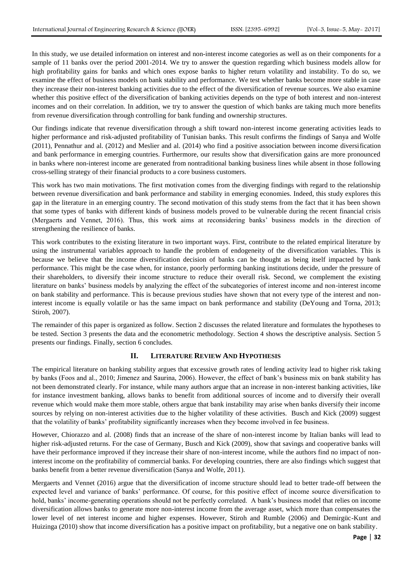In this study, we use detailed information on interest and non-interest income categories as well as on their components for a sample of 11 banks over the period 2001-2014. We try to answer the question regarding which business models allow for high profitability gains for banks and which ones expose banks to higher return volatility and instability. To do so, we examine the effect of business models on bank stability and performance. We test whether banks become more stable in case they increase their non-interest banking activities due to the effect of the diversification of revenue sources. We also examine whether this positive effect of the diversification of banking activities depends on the type of both interest and non-interest incomes and on their correlation. In addition, we try to answer the question of which banks are taking much more benefits from revenue diversification through controlling for bank funding and ownership structures.

Our findings indicate that revenue diversification through a shift toward non-interest income generating activities leads to higher performance and risk-adjusted profitability of Tunisian banks. This result confirms the findings of Sanya and Wolfe (2011), Pennathur and al. (2012) and Meslier and al. (2014) who find a positive association between income diversification and bank performance in emerging countries. Furthermore, our results show that diversification gains are more pronounced in banks where non-interest income are generated from nontraditional banking business lines while absent in those following cross-selling strategy of their financial products to a core business customers.

This work has two main motivations. The first motivation comes from the diverging findings with regard to the relationship between revenue diversification and bank performance and stability in emerging economies. Indeed, this study explores this gap in the literature in an emerging country. The second motivation of this study stems from the fact that it has been shown that some types of banks with different kinds of business models proved to be vulnerable during the recent financial crisis (Mergaerts and Vennet, 2016). Thus, this work aims at reconsidering banks' business models in the direction of strengthening the resilience of banks.

This work contributes to the existing literature in two important ways. First, contribute to the related empirical literature by using the instrumental variables approach to handle the problem of endogeneity of the diversification variables. This is because we believe that the income diversification decision of banks can be thought as being itself impacted by bank performance. This might be the case when, for instance, poorly performing banking institutions decide, under the pressure of their shareholders, to diversify their income structure to reduce their overall risk. Second, we complement the existing literature on banks' business models by analyzing the effect of the subcategories of interest income and non-interest income on bank stability and performance. This is because previous studies have shown that not every type of the interest and noninterest income is equally volatile or has the same impact on bank performance and stability (DeYoung and Torna, 2013; Stiroh, 2007).

The remainder of this paper is organized as follow. Section 2 discusses the related literature and formulates the hypotheses to be tested. Section 3 presents the data and the econometric methodology. Section 4 shows the descriptive analysis. Section 5 presents our findings. Finally, section 6 concludes.

## **II. LITERATURE REVIEW AND HYPOTHESIS**

The empirical literature on banking stability argues that excessive growth rates of lending activity lead to higher risk taking by banks (Foos and al., 2010; Jimenez and Saurina, 2006). However, the effect of bank's business mix on bank stability has not been demonstrated clearly. For instance, while many authors argue that an increase in non-interest banking activities, like for instance investment banking, allows banks to benefit from additional sources of income and to diversify their overall revenue which would make them more stable, others argue that bank instability may arise when banks diversify their income sources by relying on non-interest activities due to the higher volatility of these activities. Busch and Kick (2009) suggest that the volatility of banks' profitability significantly increases when they become involved in fee business.

However, Chiorazzo and al. (2008) finds that an increase of the share of non-interest income by Italian banks will lead to higher risk-adjusted returns. For the case of Germany, Busch and Kick (2009), show that savings and cooperative banks will have their performance improved if they increase their share of non-interest income, while the authors find no impact of noninterest income on the profitability of commercial banks. For developing countries, there are also findings which suggest that banks benefit from a better revenue diversification (Sanya and Wolfe, 2011).

Mergaerts and Vennet (2016) argue that the diversification of income structure should lead to better trade-off between the expected level and variance of banks' performance. Of course, for this positive effect of income source diversification to hold, banks' income-generating operations should not be perfectly correlated. A bank's business model that relies on income diversification allows banks to generate more non-interest income from the average asset, which more than compensates the lower level of net interest income and higher expenses. However, Stiroh and Rumble (2006) and Demirgüc-Kunt and Huizinga (2010) show that income diversification has a positive impact on profitability, but a negative one on bank stability.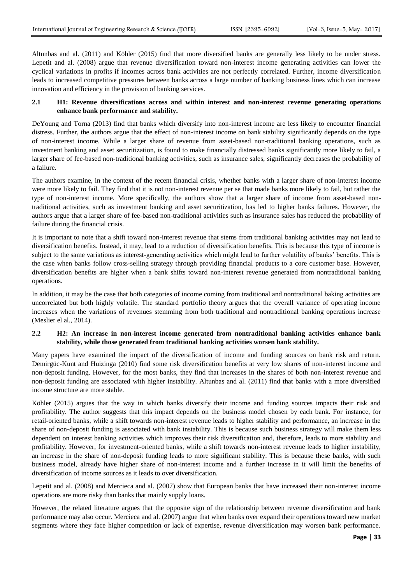Altunbas and al. (2011) and Köhler (2015) find that more diversified banks are generally less likely to be under stress. Lepetit and al. (2008) argue that revenue diversification toward non-interest income generating activities can lower the cyclical variations in profits if incomes across bank activities are not perfectly correlated. Further, income diversification leads to increased competitive pressures between banks across a large number of banking business lines which can increase innovation and efficiency in the provision of banking services.

# **2.1 H1: Revenue diversifications across and within interest and non-interest revenue generating operations enhance bank performance and stability.**

DeYoung and Torna (2013) find that banks which diversify into non-interest income are less likely to encounter financial distress. Further, the authors argue that the effect of non-interest income on bank stability significantly depends on the type of non-interest income. While a larger share of revenue from asset-based non-traditional banking operations, such as investment banking and asset securitization, is found to make financially distressed banks significantly more likely to fail, a larger share of fee-based non-traditional banking activities, such as insurance sales, significantly decreases the probability of a failure.

The authors examine, in the context of the recent financial crisis, whether banks with a larger share of non-interest income were more likely to fail. They find that it is not non-interest revenue per se that made banks more likely to fail, but rather the type of non-interest income. More specifically, the authors show that a larger share of income from asset-based nontraditional activities, such as investment banking and asset securitization, has led to higher banks failures. However, the authors argue that a larger share of fee-based non-traditional activities such as insurance sales has reduced the probability of failure during the financial crisis.

It is important to note that a shift toward non-interest revenue that stems from traditional banking activities may not lead to diversification benefits. Instead, it may, lead to a reduction of diversification benefits. This is because this type of income is subject to the same variations as interest-generating activities which might lead to further volatility of banks' benefits. This is the case when banks follow cross-selling strategy through providing financial products to a core customer base. However, diversification benefits are higher when a bank shifts toward non-interest revenue generated from nontraditional banking operations.

In addition, it may be the case that both categories of income coming from traditional and nontraditional baking activities are uncorrelated but both highly volatile. The standard portfolio theory argues that the overall variance of operating income increases when the variations of revenues stemming from both traditional and nontraditional banking operations increase (Meslier el al., 2014).

## **2.2 H2: An increase in non-interest income generated from nontraditional banking activities enhance bank stability, while those generated from traditional banking activities worsen bank stability.**

Many papers have examined the impact of the diversification of income and funding sources on bank risk and return. Demirgüc-Kunt and Huizinga (2010) find some risk diversification benefits at very low shares of non-interest income and non-deposit funding. However, for the most banks, they find that increases in the shares of both non-interest revenue and non-deposit funding are associated with higher instability. Altunbas and al. (2011) find that banks with a more diversified income structure are more stable.

Köhler (2015) argues that the way in which banks diversify their income and funding sources impacts their risk and profitability. The author suggests that this impact depends on the business model chosen by each bank. For instance, for retail-oriented banks, while a shift towards non-interest revenue leads to higher stability and performance, an increase in the share of non-deposit funding is associated with bank instability. This is because such business strategy will make them less dependent on interest banking activities which improves their risk diversification and, therefore, leads to more stability and profitability. However, for investment-oriented banks, while a shift towards non-interest revenue leads to higher instability, an increase in the share of non-deposit funding leads to more significant stability. This is because these banks, with such business model, already have higher share of non-interest income and a further increase in it will limit the benefits of diversification of income sources as it leads to over diversification.

Lepetit and al. (2008) and Mercieca and al. (2007) show that European banks that have increased their non-interest income operations are more risky than banks that mainly supply loans.

However, the related literature argues that the opposite sign of the relationship between revenue diversification and bank performance may also occur. Mercieca and al. (2007) argue that when banks over expand their operations toward new market segments where they face higher competition or lack of expertise, revenue diversification may worsen bank performance.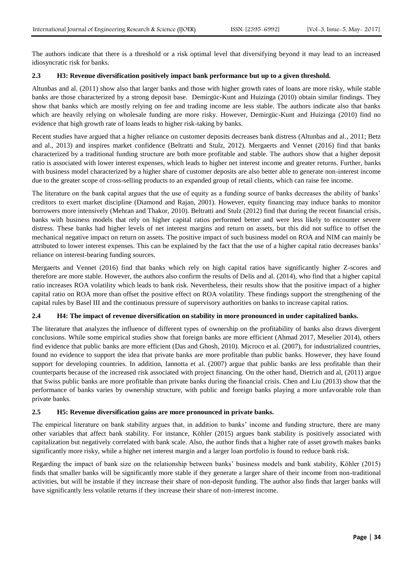The authors indicate that there is a threshold or a risk optimal level that diversifying beyond it may lead to an increased idiosyncratic risk for banks.

# **2.3 H3: Revenue diversification positively impact bank performance but up to a given threshold.**

Altunbas and al. (2011) show also that larger banks and those with higher growth rates of loans are more risky, while stable banks are those characterized by a strong deposit base. Demirgüc-Kunt and Huizinga (2010) obtain similar findings. They show that banks which are mostly relying on fee and trading income are less stable. The authors indicate also that banks which are heavily relying on wholesale funding are more risky. However, Demirgüc-Kunt and Huizinga (2010) find no evidence that high growth rate of loans leads to higher risk-taking by banks.

Recent studies have argued that a higher reliance on customer deposits decreases bank distress (Altunbas and al., 2011; Betz and al., 2013) and inspires market confidence (Beltratti and Stulz, 2012). Mergaerts and Vennet (2016) find that banks characterized by a traditional funding structure are both more profitable and stable. The authors show that a higher deposit ratio is associated with lower interest expenses, which leads to higher net interest income and greater returns. Further, banks with business model characterized by a higher share of customer deposits are also better able to generate non-interest income due to the greater scope of cross-selling products to an expanded group of retail clients, which can raise fee income.

The literature on the bank capital argues that the use of equity as a funding source of banks decreases the ability of banks' creditors to exert market discipline (Diamond and Rajan, 2001). However, equity financing may induce banks to monitor borrowers more intensively (Mehran and Thakor, 2010). Beltratti and Stulz (2012) find that during the recent financial crisis, banks with business models that rely on higher capital ratios performed better and were less likely to encounter severe distress. These banks had higher levels of net interest margins and return on assets, but this did not suffice to offset the mechanical negative impact on return on assets. The positive impact of such business model on ROA and NIM can mainly be attributed to lower interest expenses. This can be explained by the fact that the use of a higher capital ratio decreases banks' reliance on interest-bearing funding sources.

Mergaerts and Vennet (2016) find that banks which rely on high capital ratios have significantly higher Z-scores and therefore are more stable. However, the authors also confirm the results of Delis and al. (2014), who find that a higher capital ratio increases ROA volatility which leads to bank risk. Nevertheless, their results show that the positive impact of a higher capital ratio on ROA more than offset the positive effect on ROA volatility. These findings support the strengthening of the capital rules by Basel III and the continuous pressure of supervisory authorities on banks to increase capital ratios.

## **2.4 H4: The impact of revenue diversification on stability in more pronounced in under capitalized banks.**

The literature that analyzes the influence of different types of ownership on the profitability of banks also draws divergent conclusions. While some empirical studies show that foreign banks are more efficient (Ahmad 2017, Meselier 2014), others find evidence that public banks are more efficient (Das and Ghosh, 2010). Microco et al. (2007), for industrialized countries, found no evidence to support the idea that private banks are more profitable than public banks. However, they have found support for developing countries. In addition, Iannotta et al. (2007) argue that public banks are less profitable than their counterparts because of the increased risk associated with project financing. On the other hand, Dietrich and al, (2011) argue that Swiss public banks are more profitable than private banks during the financial crisis. Chen and Liu (2013) show that the performance of banks varies by ownership structure, with public and foreign banks playing a more unfavorable role than private banks.

## **2.5 H5: Revenue diversification gains are more pronounced in private banks.**

The empirical literature on bank stability argues that, in addition to banks' income and funding structure, there are many other variables that affect bank stability. For instance, Köhler (2015) argues bank stability is positively associated with capitalization but negatively correlated with bank scale. Also, the author finds that a higher rate of asset growth makes banks significantly more risky, while a higher net interest margin and a larger loan portfolio is found to reduce bank risk.

Regarding the impact of bank size on the relationship between banks' business models and bank stability, Köhler (2015) finds that smaller banks will be significantly more stable if they generate a larger share of their income from non-traditional activities, but will be instable if they increase their share of non-deposit funding. The author also finds that larger banks will have significantly less volatile returns if they increase their share of non-interest income.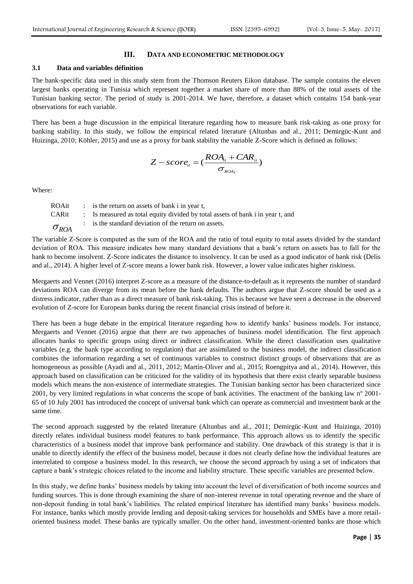#### **III. DATA AND ECONOMETRIC METHODOLOGY**

#### **3.1 Data and variables définition**

The bank-specific data used in this study stem from the Thomson Reuters Eikon database. The sample contains the eleven largest banks operating in Tunisia which represent together a market share of more than 88% of the total assets of the Tunisian banking sector. The period of study is 2001-2014. We have, therefore, a dataset which contains 154 bank-year observations for each variable.

There has been a huge discussion in the empirical literature regarding how to measure bank risk-taking as one proxy for banking stability. In this study, we follow the empirical related literature (Altunbas and al., 2011; Demirgüc-Kunt and Huizinga, 2010; Köhler, 2015) and use as a proxy for bank stability the variable Z-Score which is defined as follows:

$$
Z-score_{it} = (\frac{ROA_{it} + CAR_{it}}{\sigma_{_{ROAi}}})
$$

Where:

| ROAit          | $\therefore$ is the return on assets of bank i in year t.                      |
|----------------|--------------------------------------------------------------------------------|
| CARit          | : Is measured as total equity divided by total assets of bank i in year t, and |
| $\sigma_{ROA}$ | : is the standard deviation of the return on assets.                           |

The variable Z-Score is computed as the sum of the ROA and the ratio of total equity to total assets divided by the standard deviation of ROA. This measure indicates how many standard deviations that a bank's return on assets has to fall for the bank to become insolvent. Z-Score indicates the distance to insolvency. It can be used as a good indicator of bank risk (Delis and al., 2014). A higher level of Z-score means a lower bank risk. However, a lower value indicates higher riskiness.

Mergaerts and Vennet (2016) interpret Z-score as a measure of the distance-to-default as it represents the number of standard deviations ROA can diverge from its mean before the bank defaults. The authors argue that Z-score should be used as a distress indicator, rather than as a direct measure of bank risk-taking. This is because we have seen a decrease in the observed evolution of Z-score for European banks during the recent financial crisis instead of before it.

There has been a huge debate in the empirical literature regarding how to identify banks' business models. For instance, Mergaerts and Vennet (2016) argue that there are two approaches of business model identification. The first approach allocates banks to specific groups using direct or indirect classification. While the direct classification uses qualitative variables (e.g. the bank type according to regulation) that are assimilated to the business model, the indirect classification combines the information regarding a set of continuous variables to construct distinct groups of observations that are as homogeneous as possible (Ayadi and al., 2011, 2012; Martín-Oliver and al., 2015; Roengpitya and al., 2014). However, this approach based on classification can be criticized for the validity of its hypothesis that there exist clearly separable business models which means the non-existence of intermediate strategies. The Tunisian banking sector has been characterized since 2001, by very limited regulations in what concerns the scope of bank activities. The enactment of the banking law n° 2001- 65 of 10 July 2001 has introduced the concept of universal bank which can operate as commercial and investment bank at the same time.

The second approach suggested by the related literature (Altunbas and al., 2011; Demirgüc-Kunt and Huizinga, 2010) directly relates individual business model features to bank performance. This approach allows us to identify the specific characteristics of a business model that improve bank performance and stability. One drawback of this strategy is that it is unable to directly identify the effect of the business model, because it does not clearly define how the individual features are interrelated to compose a business model. In this research, we choose the second approach by using a set of indicators that capture a bank's strategic choices related to the income and liability structure. These specific variables are presented below.

In this study, we define banks' business models by taking into account the level of diversification of both income sources and funding sources. This is done through examining the share of non-interest revenue in total operating revenue and the share of non-deposit funding in total bank's liabilities. The related empirical literature has identified many banks' business models. For instance, banks which mostly provide lending and deposit-taking services for households and SMEs have a more retailoriented business model. These banks are typically smaller. On the other hand, investment-oriented banks are those which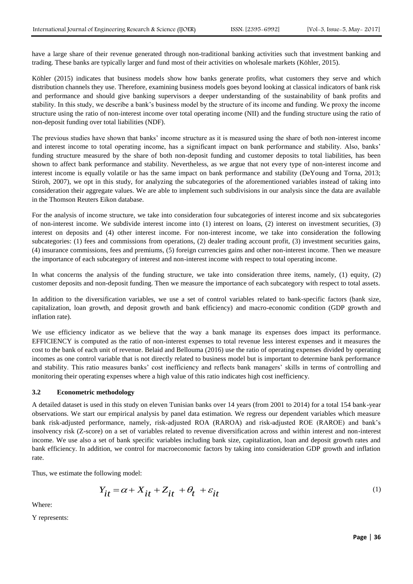have a large share of their revenue generated through non-traditional banking activities such that investment banking and trading. These banks are typically larger and fund most of their activities on wholesale markets (Köhler, 2015).

Köhler (2015) indicates that business models show how banks generate profits, what customers they serve and which distribution channels they use. Therefore, examining business models goes beyond looking at classical indicators of bank risk and performance and should give banking supervisors a deeper understanding of the sustainability of bank profits and stability. In this study, we describe a bank's business model by the structure of its income and funding. We proxy the income structure using the ratio of non-interest income over total operating income (NII) and the funding structure using the ratio of non-deposit funding over total liabilities (NDF).

The previous studies have shown that banks' income structure as it is measured using the share of both non-interest income and interest income to total operating income, has a significant impact on bank performance and stability. Also, banks' funding structure measured by the share of both non-deposit funding and customer deposits to total liabilities, has been shown to affect bank performance and stability. Nevertheless, as we argue that not every type of non-interest income and interest income is equally volatile or has the same impact on bank performance and stability (DeYoung and Torna, 2013; Stiroh, 2007), we opt in this study, for analyzing the subcategories of the aforementioned variables instead of taking into consideration their aggregate values. We are able to implement such subdivisions in our analysis since the data are available in the Thomson Reuters Eikon database.

For the analysis of income structure, we take into consideration four subcategories of interest income and six subcategories of non-interest income. We subdivide interest income into (1) interest on loans, (2) interest on investment securities, (3) interest on deposits and (4) other interest income. For non-interest income, we take into consideration the following subcategories: (1) fees and commissions from operations, (2) dealer trading account profit, (3) investment securities gains, (4) insurance commissions, fees and premiums, (5) foreign currencies gains and other non-interest income. Then we measure the importance of each subcategory of interest and non-interest income with respect to total operating income.

In what concerns the analysis of the funding structure, we take into consideration three items, namely, (1) equity, (2) customer deposits and non-deposit funding. Then we measure the importance of each subcategory with respect to total assets.

In addition to the diversification variables, we use a set of control variables related to bank-specific factors (bank size, capitalization, loan growth, and deposit growth and bank efficiency) and macro-economic condition (GDP growth and inflation rate).

We use efficiency indicator as we believe that the way a bank manage its expenses does impact its performance. EFFICIENCY is computed as the ratio of non-interest expenses to total revenue less interest expenses and it measures the cost to the bank of each unit of revenue. Belaid and Bellouma (2016) use the ratio of operating expenses divided by operating incomes as one control variable that is not directly related to business model but is important to determine bank performance and stability. This ratio measures banks' cost inefficiency and reflects bank managers' skills in terms of controlling and monitoring their operating expenses where a high value of this ratio indicates high cost inefficiency.

#### **3.2 Econometric methodology**

A detailed dataset is used in this study on eleven Tunisian banks over 14 years (from 2001 to 2014) for a total 154 bank-year observations. We start our empirical analysis by panel data estimation. We regress our dependent variables which measure bank risk-adjusted performance, namely, risk-adjusted ROA (RAROA) and risk-adjusted ROE (RAROE) and bank's insolvency risk (Z-score) on a set of variables related to revenue diversification across and within interest and non-interest income. We use also a set of bank specific variables including bank size, capitalization, loan and deposit growth rates and bank efficiency. In addition, we control for macroeconomic factors by taking into consideration GDP growth and inflation rate.

Thus, we estimate the following model:

$$
Y_{it} = \alpha + X_{it} + Z_{it} + \theta_t + \varepsilon_{it}
$$
 (1)

Where:

Y represents: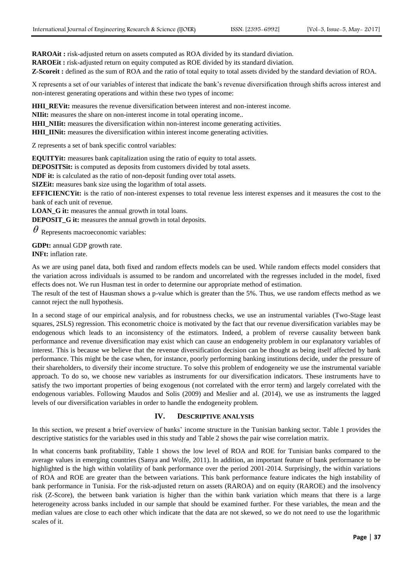**RAROAit :** risk-adjusted return on assets computed as ROA divided by its standard diviation.

**RAROEit :** risk-adjusted return on equity computed as ROE divided by its standard diviation.

**Z-Scoreit :** defined as the sum of ROA and the ratio of total equity to total assets divided by the standard deviation of ROA.

X represents a set of our variables of interest that indicate the bank's revenue diversification through shifts across interest and non-interest generating operations and within these two types of income:

**HHI\_REVit:** measures the revenue diversification between interest and non-interest income.

**NIIit:** measures the share on non-interest income in total operating income..

**HHI\_NIIit:** measures the diversification within non-interest income generating activities.

**HHI\_IINit:** measures the diversification within interest income generating activities.

Z represents a set of bank specific control variables:

**EQUITYit:** measures bank capitalization using the ratio of equity to total assets.

**DEPOSITSit:** is computed as deposits from customers divided by total assets.

**NDF it:** is calculated as the ratio of non-deposit funding over total assets.

**SIZEit:** measures bank size using the logarithm of total assets.

**EFFICIENCYit:** is the ratio of non-interest expenses to total revenue less interest expenses and it measures the cost to the bank of each unit of revenue.

**LOAN\_G it:** measures the annual growth in total loans.

**DEPOSIT\_G it:** measures the annual growth in total deposits.

 $\theta$  Represents macroeconomic variables:

**GDPt:** annual GDP growth rate. **INFt:** inflation rate.

As we are using panel data, both fixed and random effects models can be used. While random effects model considers that the variation across individuals is assumed to be random and uncorrelated with the regresses included in the model, fixed effects does not. We run Husman test in order to determine our appropriate method of estimation.

The result of the test of Hausman shows a p-value which is greater than the 5%. Thus, we use random effects method as we cannot reject the null hypothesis.

In a second stage of our empirical analysis, and for robustness checks, we use an instrumental variables (Two-Stage least squares, 2SLS) regression. This econometric choice is motivated by the fact that our revenue diversification variables may be endogenous which leads to an inconsistency of the estimators. Indeed, a problem of reverse causality between bank performance and revenue diversification may exist which can cause an endogeneity problem in our explanatory variables of interest. This is because we believe that the revenue diversification decision can be thought as being itself affected by bank performance. This might be the case when, for instance, poorly performing banking institutions decide, under the pressure of their shareholders, to diversify their income structure. To solve this problem of endogeneity we use the instrumental variable approach. To do so, we choose new variables as instruments for our diversification indicators. These instruments have to satisfy the two important properties of being exogenous (not correlated with the error term) and largely correlated with the endogenous variables. Following Maudos and Solis (2009) and Meslier and al. (2014), we use as instruments the lagged levels of our diversification variables in order to handle the endogeneity problem.

# **IV. DESCRIPTIVE ANALYSIS**

In this section, we present a brief overview of banks' income structure in the Tunisian banking sector. Table 1 provides the descriptive statistics for the variables used in this study and Table 2 shows the pair wise correlation matrix.

In what concerns bank profitability, Table 1 shows the low level of ROA and ROE for Tunisian banks compared to the average values in emerging countries (Sanya and Wolfe, 2011). In addition, an important feature of bank performance to be highlighted is the high within volatility of bank performance over the period 2001-2014. Surprisingly, the within variations of ROA and ROE are greater than the between variations. This bank performance feature indicates the high instability of bank performance in Tunisia. For the risk-adjusted return on assets (RAROA) and on equity (RAROE) and the insolvency risk (Z-Score), the between bank variation is higher than the within bank variation which means that there is a large heterogeneity across banks included in our sample that should be examined further. For these variables, the mean and the median values are close to each other which indicate that the data are not skewed, so we do not need to use the logarithmic scales of it.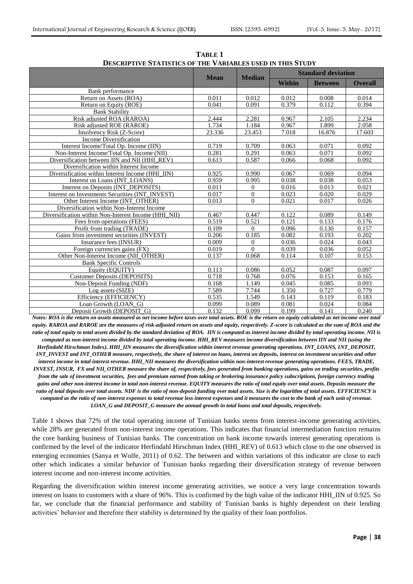| ш птерпиционся от тип тимирово сяво на ним ятсю п    |             |               |                           |                |                |  |  |  |
|------------------------------------------------------|-------------|---------------|---------------------------|----------------|----------------|--|--|--|
|                                                      | <b>Mean</b> | <b>Median</b> | <b>Standard deviation</b> |                |                |  |  |  |
|                                                      |             |               | Within                    | <b>Between</b> | <b>Overall</b> |  |  |  |
| Bank performance                                     |             |               |                           |                |                |  |  |  |
| Return on Assets (ROA)                               | 0.011       | 0.012         | 0.012                     | 0.008          | 0.014          |  |  |  |
| Return on Equity (ROE)                               | 0.041       | 0.091         | 0.379                     | 0.112          | 0.394          |  |  |  |
| <b>Bank Stability</b>                                |             |               |                           |                |                |  |  |  |
| Risk adjusted ROA (RAROA)                            | 2.444       | 2.281         | 0.967                     | 2.105          | 2.234          |  |  |  |
| Risk adjusted ROE (RAROE)                            | 1.734       | 1.184         | 0.967                     | 1.899          | 2.058          |  |  |  |
| Insolvency Risk (Z-Score)                            | 23.336      | 23.453        | 7.018                     | 16.876         | 17.603         |  |  |  |
| Income Diversification                               |             |               |                           |                |                |  |  |  |
| Interest Income/Total Op. Income (IIN)               | 0.719       | 0.709         | 0.063                     | 0.071          | 0.092          |  |  |  |
| Non-Interest Income/Total Op. Income (NII)           | 0.281       | 0.291         | 0.063                     | 0.071          | 0.092          |  |  |  |
| Diversification between IIN and NII (HHI REV)        | 0.613       | 0.587         | 0.066                     | 0.068          | 0.092          |  |  |  |
| Diversification within Interest Income               |             |               |                           |                |                |  |  |  |
| Diversification within Interest Income (HHI IIN)     | 0.925       | 0.990         | 0.067                     | 0.069          | 0.094          |  |  |  |
| Interest on Loans (INT LOANS)                        | 0.959       | 0.995         | 0.038                     | 0.038          | 0.053          |  |  |  |
| Interest on Deposits (INT DEPOSITS)                  | 0.011       | $\Omega$      | 0.016                     | 0.013          | 0.021          |  |  |  |
| Interest on Investments Securities (INT_INVEST)      | 0.017       | $\theta$      | 0.023                     | 0.020          | 0.029          |  |  |  |
| Other Interest Income (INT OTHER)                    | 0.013       | $\Omega$      | 0.021                     | 0.017          | 0.026          |  |  |  |
| Diversification within Non-Interest Income           |             |               |                           |                |                |  |  |  |
| Diversification within Non-Interest Income (HHI NII) | 0.467       | 0.447         | 0.122                     | 0.089          | 0.149          |  |  |  |
| Fees from operations (FEES)                          | 0.519       | 0.521         | 0.121                     | 0.133          | 0.176          |  |  |  |
| Profit from trading (TRADE)                          | 0.109       | $\Omega$      | 0.096                     | 0.130          | 0.157          |  |  |  |
| Gains from investment securities (INVEST)            | 0.206       | 0.185         | 0.082                     | 0.193          | 0.202          |  |  |  |
| Insurance fees (INSUR)                               | 0.009       | $\Omega$      | 0.036                     | 0.024          | 0.043          |  |  |  |
| Foreign currencies gains (FX)                        | 0.019       | $\Omega$      | 0.039                     | 0.036          | 0.052          |  |  |  |
| Other Non-Interest Income (NII OTHER)                | 0.137       | 0.068         | 0.114                     | 0.107          | 0.153          |  |  |  |
| <b>Bank Specific Controls</b>                        |             |               |                           |                |                |  |  |  |
| Equity (EQUITY)                                      | 0.113       | 0.086         | 0.052                     | 0.087          | 0.097          |  |  |  |
| <b>Customer Deposits (DEPOSITS)</b>                  | 0.718       | 0.768         | 0.076                     | 0.153          | 0.165          |  |  |  |
| Non-Deposit Funding (NDF)                            | 0.168       | 1.149         | 0.045                     | 0.085          | 0.093          |  |  |  |
| Log assets (SIZE)                                    | 7.589       | 7.744         | 1.350                     | 0.727          | 0.779          |  |  |  |
| Efficiency (EFFICIENCY)                              | 0.535       | 1.549         | 0.143                     | 0.119          | 0.183          |  |  |  |
| Loan Growth (LOAN G)                                 | 0.099       | 0.089         | 0.081                     | 0.024          | 0.084          |  |  |  |
| Deposit Growth (DEPOSIT G)                           | 0.132       | 0.099         | 0.199                     | 0.141          | 0.240          |  |  |  |

**TABLE 1 DESCRIPTIVE STATISTICS OF THE VARIABLES USED IN THIS STUDY**

*Notes: ROA is the return on assets measured as net income before taxes over total assets. ROE is the return on equity calculated as net income over total equity. RAROA and RAROE are the measures of risk-adjusted return on assets and equity, respectively. Z-score is calculated as the sum of ROA and the ratio of total equity to total assets divided by the standard deviation of ROA. IIN is computed as interest income divided by total operating income. NII is computed as non-interest income divided by total operating income. HHI\_REV measures income diversification between IIN and NII (using the Herfindahl Hirschman Index). HHI\_IIN measures the diversification within interest revenue generating operations. INT\_LOANS, INT\_DEPOSIT, INT\_INVEST and INT\_OTHER measure, respectively, the share of interest on loans, interest on deposits, interest on investment securities and other interest income in total interest revenue. HHI\_NII measures the diversification within non-interest revenue generating operations. FEES, TRADE, INVEST, INSUR, FX and NII\_OTHER measure the share of, respectively, fees generated from banking operations, gains on trading securities, profits from the sale of investment securities, fees and premium earned from taking or brokering insurance policy subscriptions, foreign currency trading gains and other non-interest income in total non-interest revenue. EQUITY measures the ratio of total equity over total assets. Deposits measure the ratio of total deposits over total assets. NDF is the ratio of non-deposit funding over total assets. Size is the logarithm of total assets. EFFICIENCY is computed as the ratio of non-interest expenses to total revenue less interest expenses and it measures the cost to the bank of each unit of revenue. LOAN\_G and DEPOSIT\_G measure the annual growth in total loans and total deposits, respectively.*

Table 1 shows that 72% of the total operating income of Tunisian banks stems from interest-income generating activities, while 28% are generated from non-interest income operations. This indicates that financial intermediation function remains the core banking business of Tunisian banks. The concentration on bank income towards interest generating operations is confirmed by the level of the indicator Herfindahl Hirschman Index (HHI\_REV) of 0.613 which close to the one observed in emerging economies (Sanya et Wolfe, 2011) of 0.62. The between and within variations of this indicator are close to each other which indicates a similar behavior of Tunisian banks regarding their diversification strategy of revenue between interest income and non-interest income activities.

Regarding the diversification within interest income generating activities, we notice a very large concentration towards interest on loans to customers with a share of 96%. This is confirmed by the high value of the indicator HHI\_IIN of 0.925. So far, we conclude that the financial performance and stability of Tunisian banks is highly dependent on their lending activities' behavior and therefore their stability is determined by the quality of their loan portfolios.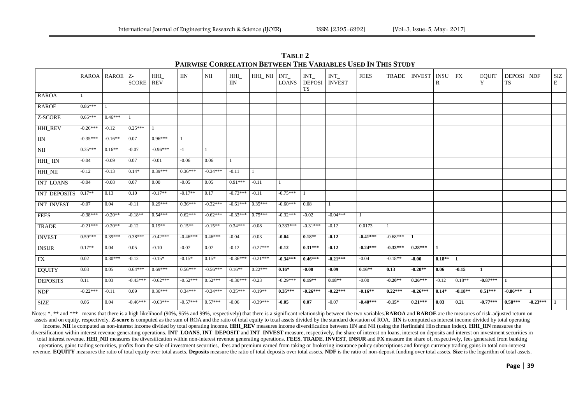**TABLE 2 PAIRWISE CORRELATION BETWEEN THE VARIABLES USED IN THIS STUDY**

|                             |                 | RAROA   RAROE   Z- | SCORE      | HHI<br><b>REV</b> | <b>IIN</b> | $\rm NII$  | HHI<br>$\rm IIN$ | HHI_NII    | INT<br><b>LOANS</b> | <b>INT</b><br><b>TS</b> | $INT_$<br>DEPOSI NVEST | <b>FEES</b> | <b>TRADE</b> | <b>INVEST</b> | <b>INSU</b><br>R | <b>FX</b> | <b>EQUIT</b><br>Y | <b>DEPOSI</b> NDF<br>TS |            | $\rm{SIZ}$<br>E |
|-----------------------------|-----------------|--------------------|------------|-------------------|------------|------------|------------------|------------|---------------------|-------------------------|------------------------|-------------|--------------|---------------|------------------|-----------|-------------------|-------------------------|------------|-----------------|
| <b>RAROA</b>                | $\vert 1 \vert$ |                    |            |                   |            |            |                  |            |                     |                         |                        |             |              |               |                  |           |                   |                         |            |                 |
| <b>RAROE</b>                | $0.86***$       |                    |            |                   |            |            |                  |            |                     |                         |                        |             |              |               |                  |           |                   |                         |            |                 |
| Z-SCORE                     | $0.65***$       | $0.46***$          |            |                   |            |            |                  |            |                     |                         |                        |             |              |               |                  |           |                   |                         |            |                 |
| <b>HHI_REV</b>              | $-0.26***$      | $-0.12$            | $0.25***$  | 1                 |            |            |                  |            |                     |                         |                        |             |              |               |                  |           |                   |                         |            |                 |
| $\rm IIN$                   | $-0.35***$      | $-0.16**$          | 0.07       | $0.96***$         | 1          |            |                  |            |                     |                         |                        |             |              |               |                  |           |                   |                         |            |                 |
| NII                         | $0.35***$       | $0.16**$           | $-0.07$    | $-0.96***$        | $-1$       | -1         |                  |            |                     |                         |                        |             |              |               |                  |           |                   |                         |            |                 |
| HHI_IIN                     | $-0.04$         | $-0.09$            | 0.07       | $-0.01$           | $-0.06$    | 0.06       | -1               |            |                     |                         |                        |             |              |               |                  |           |                   |                         |            |                 |
| HHI_NII                     | $-0.12$         | $-0.13$            | $0.14*$    | $0.39***$         | $0.36***$  | $-0.34***$ | $-0.11$          |            |                     |                         |                        |             |              |               |                  |           |                   |                         |            |                 |
| <b>INT_LOANS</b>            | $-0.04$         | $-0.08$            | 0.07       | $0.00\,$          | $-0.05$    | 0.05       | $0.91***$        | $-0.11$    |                     |                         |                        |             |              |               |                  |           |                   |                         |            |                 |
| INT_DEPOSITS                | $0.17**$        | 0.13               | 0.10       | $-0.17**$         | $-0.17**$  | 0.17       | $-0.73***$       | $-0.11$    | $-0.75***$          |                         |                        |             |              |               |                  |           |                   |                         |            |                 |
| <b>INT_INVEST</b>           | $-0.07$         | 0.04               | $-0.11$    | $0.29***$         | $0.36***$  | $-0.32***$ | $-0.61***$       | $0.35***$  | $-0.60***$          | 0.08                    | $\mathbf{1}$           |             |              |               |                  |           |                   |                         |            |                 |
| <b>FEES</b>                 | $-0.38***$      | $-0.20**$          | $-0.18**$  | $0.54***$         | $0.62***$  | $-0.62***$ | $-0.33***$       | $0.75***$  | $-0.32***$          | $-0.02$                 | $-0.04***$             |             |              |               |                  |           |                   |                         |            |                 |
| <b>TRADE</b>                | $-0.21***$      | $-0.20**$          | $-0.12$    | $0.19**$          | $0.15**$   | $-0.15**$  | $0.34***$        | $-0.08$    | $0.333***$          | $-0.31***$              | $-0.12$                | 0.0173      |              |               |                  |           |                   |                         |            |                 |
| <b>INVEST</b>               | $0.59***$       | $0.39***$          | $0.38***$  | $-0.42***$        | $-0.46***$ | $0.46***$  | $-0.04$          | $-0.03$    | $-0.04$             | $0.18**$                | $-0.12$                | $-0.41***$  | $-0.68***$   | -1            |                  |           |                   |                         |            |                 |
| $\overline{\text{INSUR}}$   | $0.17**$        | 0.04               | 0.05       | $-0.10$           | $-0.07$    | 0.07       | $-0.12$          | $-0.27***$ | $-0.12$             | $0.31***$               | $-0.12$                | $-0.24***$  | $-0.33***$   | $0.28***$     | $\mathbf{1}$     |           |                   |                         |            |                 |
| FX                          | 0.02            | $0.30***$          | $-0.12$    | $-0.15*$          | $-0.15*$   | $0.15*$    | $-0.36***$       | $-0.21***$ | $-0.34***$          | $0.46***$               | $-0.21***$             | $-0.04$     | $-0.18**$    | $-0.00$       | $0.18**$         | 1         |                   |                         |            |                 |
| <b>EQUITY</b>               | 0.03            | 0.05               | $0.64***$  | $0.69***$         | $0.56***$  | $-0.56***$ | $0.16**$         | $0.22***$  | $0.16*$             | $-0.08$                 | $-0.09$                | $0.16**$    | 0.13         | $-0.20**$     | 0.06             | $-0.15$   |                   |                         |            |                 |
| <b>DEPOSITS</b>             | 0.11            | 0.03               | $-0.43***$ | $-0.62***$        | $-0.52***$ | $0.52***$  | $-0.30***$       | $-0.23$    | $-0.29***$          | $0.19**$                | $0.18**$               | $-0.00$     | $-0.20**$    | $0.26***$     | $-0.12$          | $0.18**$  | $-0.87***$        | $\mathbf{1}$            |            |                 |
| $\ensuremath{\mathsf{NDF}}$ | $-0.22***$      | $-0.11$            | 0.09       | $0.36***$         | $0.34***$  | $-0.34***$ | $0.35***$        | $-0.19**$  | $0.35***$           | $-0.26***$              | $-0.22***$             | $-0.16**$   | $0.22***$    | $-0.26***$    | $0.14*$          | $-0.18**$ | $0.51***$         | $-0.86***$              | 1          |                 |
| <b>SIZE</b>                 | 0.06            | 0.04               | $-0.46***$ | $-0.63***$        | $-0.57***$ | $0.57***$  | $-0.06$          | $-0.39***$ | $-0.05$             | 0.07                    | $-0.07$                | $-0.40***$  | $-0.15*$     | $0.21***$     | 0.03             | 0.21      | $-0.77***$        | $0.58***$               | $-0.23***$ |                 |

Notes: \*, \*\* and \*\*\* means that there is a high likelihood (90%, 95% and 99%, respectively) that there is a significant relationship between the two variables. RAROA and RAROE are the measures of risk-adjusted return on assets and on equity, respectively. Z-score is computed as the sum of ROA and the ratio of total equity to total assets divided by the standard deviation of ROA. IIN is computed as interest income divided by total operatin income. NII is computed as non-interest income divided by total operating income. HHI\_REV measures income diversification between IIN and NII (using the Herfindahl Hirschman Index). HHI\_IIN measures the diversification within interest revenue generating operations. INT\_LOANS, INT\_DEPOSIT and INT\_INVEST measure, respectively, the share of interest on loans, interest on deposits and interest on investment securities in total interest revenue. HHI NII measures the diversification within non-interest revenue generating operations. FEES, TRADE, INVEST, INSUR and FX measure the share of, respectively, fees generated from banking operations, gains trading securities, profits from the sale of investment securities, fees and premium earned from taking or brokering insurance policy subscriptions and foreign currency trading gains in total non-interest revenue. EQUITY measures the ratio of total equity over total assets. Deposits measure the ratio of total deposits over total assets. NDF is the ratio of non-deposit funding over total assets. Size is the logarithm of tota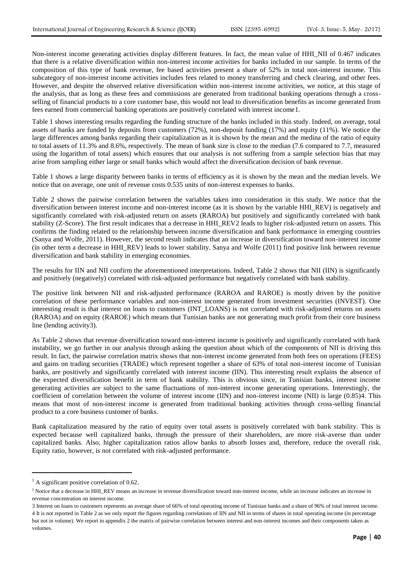Non-interest income generating activities display different features. In fact, the mean value of HHI\_NII of 0.467 indicates that there is a relative diversification within non-interest income activities for banks included in our sample. In terms of the composition of this type of bank revenue, fee based activities present a share of 52% in total non-interest income. This subcategory of non-interest income activities includes fees related to money transferring and check clearing, and other fees. However, and despite the observed relative diversification within non-interest income activities, we notice, at this stage of the analysis, that as long as these fees and commissions are generated from traditional banking operations through a crossselling of financial products to a core customer base, this would not lead to diversification benefits as income generated from fees earned from commercial banking operations are positively correlated with interest income1.

Table 1 shows interesting results regarding the funding structure of the banks included in this study. Indeed, on average, total assets of banks are funded by deposits from customers (72%), non-deposit funding (17%) and equity (11%). We notice the large differences among banks regarding their capitalization as it is shown by the mean and the medina of the ratio of equity to total assets of 11.3% and 8.6%, respectively. The mean of bank size is close to the median (7.6 compared to 7.7, measured using the logarithm of total assets) which ensures that our analysis is not suffering from a sample selection bias that may arise from sampling either large or small banks which would affect the diversification decision of bank revenue.

Table 1 shows a large disparity between banks in terms of efficiency as it is shown by the mean and the median levels. We notice that on average, one unit of revenue costs 0.535 units of non-interest expenses to banks.

Table 2 shows the pairwise correlation between the variables taken into consideration in this study. We notice that the diversification between interest income and non-interest income (as it is shown by the variable HHI\_REV) is negatively and significantly correlated with risk-adjusted return on assets (RAROA) but positively and significantly correlated with bank stability (Z-Score). The first result indicates that a decrease in HHI\_REV2 leads to higher risk-adjusted return on assets. This confirms the finding related to the relationship between income diversification and bank performance in emerging countries (Sanya and Wolfe, 2011). However, the second result indicates that an increase in diversification toward non-interest income (in other term a decrease in HHI\_REV) leads to lower stability. Sanya and Wolfe (2011) find positive link between revenue diversification and bank stability in emerging economies.

The results for IIN and NII confirm the aforementioned interpretations. Indeed, Table 2 shows that NII (IIN) is significantly and positively (negatively) correlated with risk-adjusted performance but negatively correlated with bank stability.

The positive link between NII and risk-adjusted performance (RAROA and RAROE) is mostly driven by the positive correlation of these performance variables and non-interest income generated from investment securities (INVEST). One interesting result is that interest on loans to customers (INT\_LOANS) is not correlated with risk-adjusted returns on assets (RAROA) and on equity (RAROE) which means that Tunisian banks are not generating much profit from their core business line (lending activity3).

As Table 2 shows that revenue diversification toward non-interest income is positively and significantly correlated with bank instability, we go further in our analysis through asking the question about which of the components of NII is driving this result. In fact, the pairwise correlation matrix shows that non-interest income generated from both fees on operations (FEES) and gains on trading securities (TRADE) which represent together a share of 63% of total non-interest income of Tunisian banks, are positively and significantly correlated with interest income (IIN). This interesting result explains the absence of the expected diversification benefit in term of bank stability. This is obvious since, in Tunisian banks, interest income generating activities are subject to the same fluctuations of non-interest income generating operations. Interestingly, the coefficient of correlation between the volume of interest income (IIN) and non-interest income (NII) is large (0.85)4. This means that most of non-interest income is generated from traditional banking activities through cross-selling financial product to a core business customer of banks.

Bank capitalization measured by the ratio of equity over total assets is positively correlated with bank stability. This is expected because well capitalized banks, through the pressure of their shareholders, are more risk-averse than under capitalized banks. Also, higher capitalization ratios allow banks to absorb losses and, therefore, reduce the overall risk. Equity ratio, however, is not correlated with risk-adjusted performance.

 $\overline{\phantom{a}}$ 

 $<sup>1</sup>$  A significant positive correlation of 0.62.</sup>

<sup>&</sup>lt;sup>2</sup> Notice that a decrease in HHI\_REV means an increase in revenue diversification toward non-interest income, while an increase indicates an increase in revenue concentration on interest income.

<sup>3</sup> Interest on loans to customers represents an average share of 66% of total operating income of Tunisian banks and a share of 96% of total interest income. 4 It is not reported in Table 2 as we only report the figures regarding correlations of IIN and NII in terms of shares in total operating income (in percentage but not in volume). We report in appendix 2 the matrix of pairwise correlation between interest and non-interest incomes and their components taken as volumes.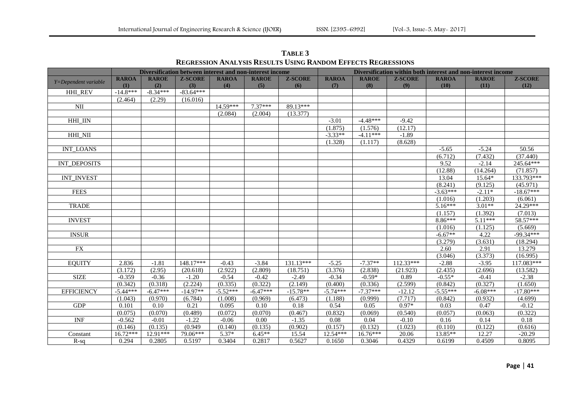|                         | Diversification between interest and non-interest income |              |                |              |              |                |              | Diversification within both interest and non-interest income |                |              |              |                |  |  |  |
|-------------------------|----------------------------------------------------------|--------------|----------------|--------------|--------------|----------------|--------------|--------------------------------------------------------------|----------------|--------------|--------------|----------------|--|--|--|
|                         | <b>RAROA</b>                                             | <b>RAROE</b> | <b>Z-SCORE</b> | <b>RAROA</b> | <b>RAROE</b> | <b>Z-SCORE</b> | <b>RAROA</b> | <b>RAROE</b>                                                 | <b>Z-SCORE</b> | <b>RAROA</b> | <b>RAROE</b> | <b>Z-SCORE</b> |  |  |  |
| Y=Dependent variable    | (1)                                                      | (2)          | (3)            | (4)          | (5)          | (6)            | (7)          | (8)                                                          | (9)            | (10)         | (11)         | (12)           |  |  |  |
| <b>HHI REV</b>          | $-14.8***$                                               | $-8.34***$   | $-83.64***$    |              |              |                |              |                                                              |                |              |              |                |  |  |  |
|                         | (2.464)                                                  | (2.29)       | (16.016)       |              |              |                |              |                                                              |                |              |              |                |  |  |  |
| $\overline{\text{NII}}$ |                                                          |              |                | 14.59***     | $7.37***$    | 89.13***       |              |                                                              |                |              |              |                |  |  |  |
|                         |                                                          |              |                | (2.084)      | (2.004)      | (13.377)       |              |                                                              |                |              |              |                |  |  |  |
| HHI_IIN                 |                                                          |              |                |              |              |                | $-3.01$      | $-4.48***$                                                   | $-9.42$        |              |              |                |  |  |  |
|                         |                                                          |              |                |              |              |                | (1.875)      | (1.576)                                                      | (12.17)        |              |              |                |  |  |  |
| HHI_NII                 |                                                          |              |                |              |              |                | $-3.33**$    | $-4.11***$                                                   | $-1.89$        |              |              |                |  |  |  |
|                         |                                                          |              |                |              |              |                | (1.328)      | (1.117)                                                      | (8.628)        |              |              |                |  |  |  |
| <b>INT_LOANS</b>        |                                                          |              |                |              |              |                |              |                                                              |                | $-5.65$      | $-5.24$      | 50.56          |  |  |  |
|                         |                                                          |              |                |              |              |                |              |                                                              |                | (6.712)      | (7.432)      | (37.440)       |  |  |  |
| <b>INT DEPOSITS</b>     |                                                          |              |                |              |              |                |              |                                                              |                | 9.52         | $-2.14$      | 245.64***      |  |  |  |
|                         |                                                          |              |                |              |              |                |              |                                                              |                | (12.88)      | (14.264)     | (71.857)       |  |  |  |
| <b>INT_INVEST</b>       |                                                          |              |                |              |              |                |              |                                                              |                | 13.04        | 15.64*       | 133.793***     |  |  |  |
|                         |                                                          |              |                |              |              |                |              |                                                              |                | (8.241)      | (9.125)      | (45.971)       |  |  |  |
| <b>FEES</b>             |                                                          |              |                |              |              |                |              |                                                              |                | $-3.63***$   | $-2.11*$     | $-18.67***$    |  |  |  |
|                         |                                                          |              |                |              |              |                |              |                                                              |                | (1.016)      | (1.203)      | (6.061)        |  |  |  |
| <b>TRADE</b>            |                                                          |              |                |              |              |                |              |                                                              |                | $5.16***$    | $3.01**$     | 24.29***       |  |  |  |
|                         |                                                          |              |                |              |              |                |              |                                                              |                | (1.157)      | (1.392)      | (7.013)        |  |  |  |
| <b>INVEST</b>           |                                                          |              |                |              |              |                |              |                                                              |                | 8.86***      | $5.11***$    | 58.57***       |  |  |  |
|                         |                                                          |              |                |              |              |                |              |                                                              |                | (1.016)      | (1.125)      | (5.669)        |  |  |  |
| <b>INSUR</b>            |                                                          |              |                |              |              |                |              |                                                              |                | $-6.67**$    | 4.22         | $-99.34***$    |  |  |  |
|                         |                                                          |              |                |              |              |                |              |                                                              |                | (3.279)      | (3.631)      | (18.294)       |  |  |  |
| <b>FX</b>               |                                                          |              |                |              |              |                |              |                                                              |                | 2.60         | 2.91         | 13.279         |  |  |  |
|                         |                                                          |              |                |              |              |                |              |                                                              |                | (3.046)      | (3.373)      | (16.995)       |  |  |  |
| <b>EQUITY</b>           | 2.836                                                    | $-1.81$      | 148.17***      | $-0.43$      | $-3.84$      | 131.13***      | $-5.25$      | $-7.37**$                                                    | $112.33***$    | $-2.88$      | $-3.95$      | 117.083***     |  |  |  |
|                         | (3.172)                                                  | (2.95)       | (20.618)       | (2.922)      | (2.809)      | (18.751)       | (3.376)      | (2.838)                                                      | (21.923)       | (2.435)      | (2.696)      | (13.582)       |  |  |  |
| <b>SIZE</b>             | $-0.359$                                                 | $-0.36$      | $-1.20$        | $-0.54$      | $-0.42$      | $-2.49$        | $-0.34$      | $-0.59*$                                                     | 0.89           | $-0.55*$     | $-0.41$      | $-2.38$        |  |  |  |
|                         | (0.342)                                                  | (0.318)      | (2.224)        | (0.335)      | (0.322)      | (2.149)        | (0.400)      | (0.336)                                                      | (2.599)        | (0.842)      | (0.327)      | (1.650)        |  |  |  |
| <b>EFFICIENCY</b>       | $-5.44***$                                               | $-6.47***$   | $-14.97**$     | $-5.52***$   | $-6.47***$   | $-15.78**$     | $-5.74***$   | $-7.37***$                                                   | $-12.12$       | $-5.55***$   | $-6.08***$   | $-17.80***$    |  |  |  |
|                         | (1.043)                                                  | (0.970)      | (6.784)        | (1.008)      | (0.969)      | (6.473)        | (1.188)      | (0.999)                                                      | (7.717)        | (0.842)      | (0.932)      | (4.699)        |  |  |  |
| <b>GDP</b>              | 0.101                                                    | 0.10         | 0.21           | 0.095        | 0.10         | 0.18           | 0.54         | 0.05                                                         | $0.97*$        | 0.03         | 0.47         | $-0.12$        |  |  |  |
|                         | (0.075)                                                  | (0.070)      | (0.489)        | (0.072)      | (0.070)      | (0.467)        | (0.832)      | (0.069)                                                      | (0.540)        | (0.057)      | (0.063)      | (0.322)        |  |  |  |
| <b>INF</b>              | $-0.562$                                                 | $-0.01$      | $-1.22$        | $-0.06$      | 0.00         | $-1.35$        | 0.08         | 0.04                                                         | $-0.10$        | 0.16         | 0.14         | 0.18           |  |  |  |
|                         | (0.146)                                                  | (0.135)      | (0.949)        | (0.140)      | (0.135)      | (0.902)        | (0.157)      | (0.132)                                                      | (1.023)        | (0.110)      | (0.122)      | (0.616)        |  |  |  |
| Constant                | $16.72***$                                               | 12.91***     | 79.06***       | $5.37*$      | $6.45**$     | 15.54          | 12.54***     | 16.76***                                                     | 20.06          | 13.85**      | 12.27        | $-20.29$       |  |  |  |
| $R-sq$                  | 0.294                                                    | 0.2805       | 0.5197         | 0.3404       | 0.2817       | 0.5627         | 0.1650       | 0.3046                                                       | 0.4329         | 0.6199       | 0.4509       | 0.8095         |  |  |  |

**TABLE 3 REGRESSION ANALYSIS RESULTS USING RANDOM EFFECTS REGRESSIONS**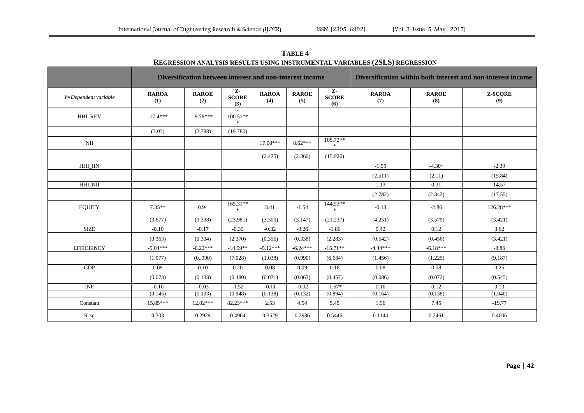|                                  |                     | Diversification between interest and non-interest income |                           |                     | Diversification within both interest and non-interest income |                            |                     |                     |                       |  |  |  |
|----------------------------------|---------------------|----------------------------------------------------------|---------------------------|---------------------|--------------------------------------------------------------|----------------------------|---------------------|---------------------|-----------------------|--|--|--|
| Y=Dependent variable             | <b>RAROA</b><br>(1) | <b>RAROE</b><br>(2)                                      | Z-<br><b>SCORE</b><br>(3) | <b>RAROA</b><br>(4) | <b>RAROE</b><br>(5)                                          | Z-<br><b>SCORE</b><br>(6)  | <b>RAROA</b><br>(7) | <b>RAROE</b><br>(8) | <b>Z-SCORE</b><br>(9) |  |  |  |
| HHI_REV                          | $-17.4***$          | $-9.78***$                                               | $100.51**$<br>$\ast$      |                     |                                                              |                            |                     |                     |                       |  |  |  |
|                                  | (3.03)              | (2.788)                                                  | (19.780)                  |                     |                                                              |                            |                     |                     |                       |  |  |  |
| NII                              |                     |                                                          |                           | $17.08***$          | $8.62***$                                                    | 105.72**<br>*              |                     |                     |                       |  |  |  |
|                                  |                     |                                                          |                           | (2.475)             | (2.360)                                                      | (15.926)                   |                     |                     |                       |  |  |  |
| <b>HHI_IIN</b>                   |                     |                                                          |                           |                     |                                                              |                            | $-1.95$             | $-4.30*$            | $-2.39$               |  |  |  |
|                                  |                     |                                                          |                           |                     |                                                              |                            | (2.511)             | (2.11)              | (15.84)               |  |  |  |
| HHI_NII                          |                     |                                                          |                           |                     |                                                              |                            | 1.13                | 0.31                | 14.57                 |  |  |  |
|                                  |                     |                                                          |                           |                     |                                                              |                            | (2.782)             | (2.342)             | (17.55)               |  |  |  |
| <b>EQUITY</b>                    | $7.35**$            | 0.94                                                     | $165.31**$<br>$*$         | 3.41                | $-1.54$                                                      | 144.53**<br>$\mathbb{R}^+$ | $-0.13$             | $-2.86$             | 126.28***             |  |  |  |
|                                  | (3.677)             | (3.338)                                                  | (23.981)                  | (3.300)             | (3.147)                                                      | (21.237)                   | (4.251)             | (3.579)             | (3.421)               |  |  |  |
| <b>SIZE</b>                      | $-0.10$             | $-0.17$                                                  | $-0.39$                   | $-0.32$             | $-0.26$                                                      | $-1.86$                    | 0.42                | 0.12                | 3.62                  |  |  |  |
|                                  | (0.363)             | (0.334)                                                  | (2.370)                   | (0.355)             | (0.338)                                                      | (2.283)                    | (0.542)             | (0.456)             | (3.421)               |  |  |  |
| <b>EFFICIENCY</b>                | $-5.04***$          | $-6.22***$                                               | $-14.99**$                | $-5.12***$          | $-6.24***$                                                   | $-15.71**$                 | $-4.44***$          | $-6.18***$          | $-8.86$               |  |  |  |
|                                  | (1.077)             | (0.990)                                                  | (7.028)                   | (1.038)             | (0.990)                                                      | (6.684)                    | (1.456)             | (1.225)             | (9.187)               |  |  |  |
| GDP                              | 0.09                | 0.10                                                     | 0.20                      | 0.08                | 0.09                                                         | 0.16                       | 0.08                | 0.08                | 0.25                  |  |  |  |
|                                  | (0.073)             | (0.133)                                                  | (0.480)                   | (0.071)             | (0.067)                                                      | (0.457)                    | (0.086)             | (0.072)             | (0.545)               |  |  |  |
| $\ensuremath{\text{INF}}\xspace$ | $-0.10$             | $-0.03$                                                  | $-1.52$                   | $-0.11$             | $-0.02$                                                      | $-1.67*$                   | 0.16                | 0.12                | 0.13                  |  |  |  |
|                                  | (0.145)             | (0.133)                                                  | (0.948)                   | (0.138)             | (0.132)                                                      | (0.894)                    | (0.164)             | (0.138)             | (1.040)               |  |  |  |
| Constant                         | 15.85***            | $12.02***$                                               | 82.23***                  | 2.53                | 4.54                                                         | 5.45                       | 1.96                | 7.45                | $-19.77$              |  |  |  |
| $R-sq$                           | 0.303               | 0.2929                                                   | 0.4964                    | 0.3529              | 0.2936                                                       | 0.5446                     | 0.1144              | 0.2461              | 0.4006                |  |  |  |

**TABLE 4 REGRESSION ANALYSIS RESULTS USING INSTRUMENTAL VARIABLES (2SLS) REGRESSION**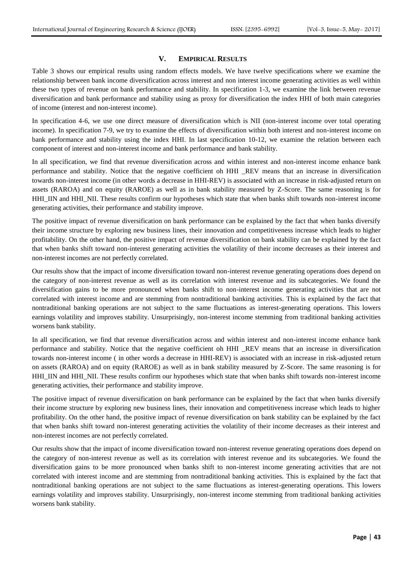# **V. EMPIRICAL RESULTS**

Table 3 shows our empirical results using random effects models. We have twelve specifications where we examine the relationship between bank income diversification across interest and non interest income generating activities as well within these two types of revenue on bank performance and stability. In specification 1-3, we examine the link between revenue diversification and bank performance and stability using as proxy for diversification the index HHI of both main categories of income (interest and non-interest income).

In specification 4-6, we use one direct measure of diversification which is NII (non-interest income over total operating income). In specification 7-9, we try to examine the effects of diversification within both interest and non-interest income on bank performance and stability using the index HHI. In last specification 10-12, we examine the relation between each component of interest and non-interest income and bank performance and bank stability.

In all specification, we find that revenue diversification across and within interest and non-interest income enhance bank performance and stability. Notice that the negative coefficient oh HHI \_REV means that an increase in diversification towards non-interest income (in other words a decrease in HHI-REV) is associated with an increase in risk-adjusted return on assets (RAROA) and on equity (RAROE) as well as in bank stability measured by Z-Score. The same reasoning is for HHI\_IIN and HHI\_NII. These results confirm our hypotheses which state that when banks shift towards non-interest income generating activities, their performance and stability improve.

The positive impact of revenue diversification on bank performance can be explained by the fact that when banks diversify their income structure by exploring new business lines, their innovation and competitiveness increase which leads to higher profitability. On the other hand, the positive impact of revenue diversification on bank stability can be explained by the fact that when banks shift toward non-interest generating activities the volatility of their income decreases as their interest and non-interest incomes are not perfectly correlated.

Our results show that the impact of income diversification toward non-interest revenue generating operations does depend on the category of non-interest revenue as well as its correlation with interest revenue and its subcategories. We found the diversification gains to be more pronounced when banks shift to non-interest income generating activities that are not correlated with interest income and are stemming from nontraditional banking activities. This is explained by the fact that nontraditional banking operations are not subject to the same fluctuations as interest-generating operations. This lowers earnings volatility and improves stability. Unsurprisingly, non-interest income stemming from traditional banking activities worsens bank stability.

In all specification, we find that revenue diversification across and within interest and non-interest income enhance bank performance and stability. Notice that the negative coefficient oh HHI \_REV means that an increase in diversification towards non-interest income ( in other words a decrease in HHI-REV) is associated with an increase in risk-adjusted return on assets (RAROA) and on equity (RAROE) as well as in bank stability measured by Z-Score. The same reasoning is for HHI\_IIN and HHI\_NII. These results confirm our hypotheses which state that when banks shift towards non-interest income generating activities, their performance and stability improve.

The positive impact of revenue diversification on bank performance can be explained by the fact that when banks diversify their income structure by exploring new business lines, their innovation and competitiveness increase which leads to higher profitability. On the other hand, the positive impact of revenue diversification on bank stability can be explained by the fact that when banks shift toward non-interest generating activities the volatility of their income decreases as their interest and non-interest incomes are not perfectly correlated.

Our results show that the impact of income diversification toward non-interest revenue generating operations does depend on the category of non-interest revenue as well as its correlation with interest revenue and its subcategories. We found the diversification gains to be more pronounced when banks shift to non-interest income generating activities that are not correlated with interest income and are stemming from nontraditional banking activities. This is explained by the fact that nontraditional banking operations are not subject to the same fluctuations as interest-generating operations. This lowers earnings volatility and improves stability. Unsurprisingly, non-interest income stemming from traditional banking activities worsens bank stability.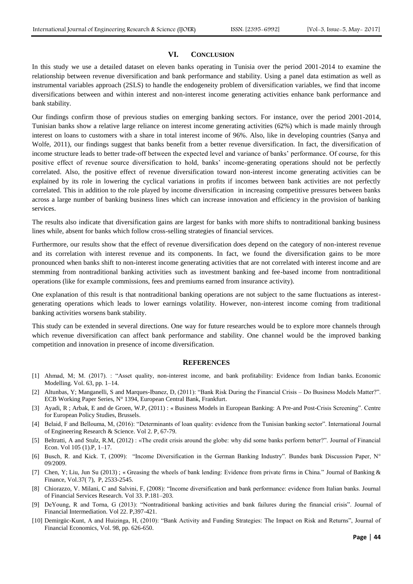#### **VI. CONCLUSION**

In this study we use a detailed dataset on eleven banks operating in Tunisia over the period 2001-2014 to examine the relationship between revenue diversification and bank performance and stability. Using a panel data estimation as well as instrumental variables approach (2SLS) to handle the endogeneity problem of diversification variables, we find that income diversifications between and within interest and non-interest income generating activities enhance bank performance and bank stability.

Our findings confirm those of previous studies on emerging banking sectors. For instance, over the period 2001-2014, Tunisian banks show a relative large reliance on interest income generating activities (62%) which is made mainly through interest on loans to customers with a share in total interest income of 96%. Also, like in developing countries (Sanya and Wolfe, 2011), our findings suggest that banks benefit from a better revenue diversification. In fact, the diversification of income structure leads to better trade-off between the expected level and variance of banks' performance. Of course, for this positive effect of revenue source diversification to hold, banks' income-generating operations should not be perfectly correlated. Also, the positive effect of revenue diversification toward non-interest income generating activities can be explained by its role in lowering the cyclical variations in profits if incomes between bank activities are not perfectly correlated. This in addition to the role played by income diversification in increasing competitive pressures between banks across a large number of banking business lines which can increase innovation and efficiency in the provision of banking services.

The results also indicate that diversification gains are largest for banks with more shifts to nontraditional banking business lines while, absent for banks which follow cross-selling strategies of financial services.

Furthermore, our results show that the effect of revenue diversification does depend on the category of non-interest revenue and its correlation with interest revenue and its components. In fact, we found the diversification gains to be more pronounced when banks shift to non-interest income generating activities that are not correlated with interest income and are stemming from nontraditional banking activities such as investment banking and fee-based income from nontraditional operations (like for example commissions, fees and premiums earned from insurance activity).

One explanation of this result is that nontraditional banking operations are not subject to the same fluctuations as interestgenerating operations which leads to lower earnings volatility. However, non-interest income coming from traditional banking activities worsens bank stability.

This study can be extended in several directions. One way for future researches would be to explore more channels through which revenue diversification can affect bank performance and stability. One channel would be the improved banking competition and innovation in presence of income diversification.

#### **REFERENCES**

- [1] Ahmad, M; M. (2017). : "Asset quality, non-interest income, and bank profitability: Evidence from Indian banks. Economic Modelling. Vol. 63, pp. 1–14.
- [2] Altunbas, Y; Manganelli, S and Marques-Ibanez, D, (2011): "Bank Risk During the Financial Crisis Do Business Models Matter?". ECB Working Paper Series, N° 1394, European Central Bank, Frankfurt.
- [3] Ayadi, R ; Arbak, E and de Groen, W.P, (2011) : « Business Models in European Banking: A Pre-and Post-Crisis Screening". Centre for European Policy Studies, Brussels.
- [4] Belaid, F and Bellouma, M, (2016): "Determinants of loan quality: evidence from the Tunisian banking sector". International Journal of Engineering Research & Science. Vol 2. P, 67-79.
- [5] Beltratti, A and Stulz, R.M, (2012) : «The credit crisis around the globe: why did some banks perform better?". Journal of Financial Econ. Vol 105 (1).P, 1–17.
- [6] Busch, R. and Kick. T, (2009): "Income Diversification in the German Banking Industry". Bundes bank Discussion Paper, N° 09/2009.
- [7] Chen, Y; Liu, Jun Su (2013) ; « Greasing the wheels of bank lending: Evidence from private firms in China." Journal of Banking & Finance, Vol.37( 7), P, 2533-2545.
- [8] Chiorazzo, V. Milani, C and Salvini, F, (2008): "Income diversification and bank performance: evidence from Italian banks. Journal of Financial Services Research. Vol 33. P.181–203.
- [9] DeYoung, R and Torna, G (2013): "Nontraditional banking activities and bank failures during the financial crisis". Journal of Financial Intermediation. Vol 22. P,397-421.
- [10] Demirgüc-Kunt, A and Huizinga, H, (2010): "Bank Activity and Funding Strategies: The Impact on Risk and Returns", Journal of Financial Economics, Vol. 98, pp. 626-650.